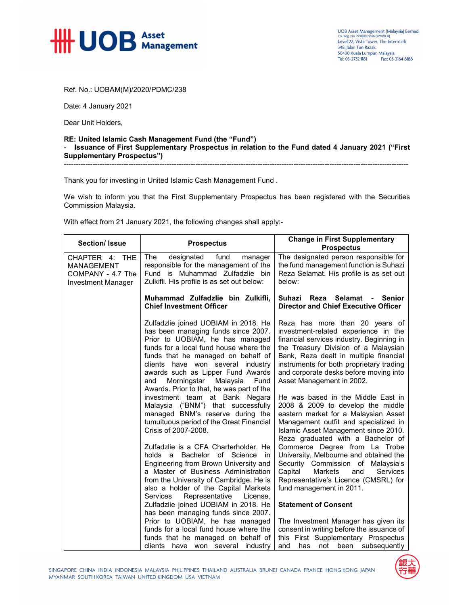

UOB Asset Management (Malaysia) Berhad<br>Co. Reg. No. 199101009166 (219478-X) Level 22, Vista Tower, The Intermark 348, Jalan Tun Razak, 50400 Kuala Lumpur, Malaysia Tel: 03-2732 1181 Fax: 03-2164 8188

Ref. No.: UOBAM(M)/2020/PDMC/238

Date: 4 January 2021

Dear Unit Holders,

## **RE: United Islamic Cash Management Fund (the "Fund")**  - **Issuance of First Supplementary Prospectus in relation to the Fund dated 4 January 2021 ("First Supplementary Prospectus")**

------------------------------------------------------------------------------------------------------------------------------------------------

Thank you for investing in United Islamic Cash Management Fund .

We wish to inform you that the First Supplementary Prospectus has been registered with the Securities Commission Malaysia.

With effect from 21 January 2021, the following changes shall apply:-

| <b>Section/ Issue</b>                                                          | <b>Prospectus</b>                                                                                                                                                                                                                                                                                                                                               | <b>Change in First Supplementary</b><br><b>Prospectus</b>                                                                                                                                                                                                                                                                |
|--------------------------------------------------------------------------------|-----------------------------------------------------------------------------------------------------------------------------------------------------------------------------------------------------------------------------------------------------------------------------------------------------------------------------------------------------------------|--------------------------------------------------------------------------------------------------------------------------------------------------------------------------------------------------------------------------------------------------------------------------------------------------------------------------|
| CHAPTER 4: THE<br><b>MANAGEMENT</b><br>COMPANY - 4.7 The<br>Investment Manager | designated<br>The<br>fund<br>manager<br>responsible for the management of the<br>Fund is Muhammad Zulfadzlie bin<br>Zulkifli. His profile is as set out below:                                                                                                                                                                                                  | The designated person responsible for<br>the fund management function is Suhazi<br>Reza Selamat. His profile is as set out<br>below:                                                                                                                                                                                     |
|                                                                                | Muhammad Zulfadzlie bin Zulkifli,<br><b>Chief Investment Officer</b>                                                                                                                                                                                                                                                                                            | Suhazi Reza Selamat<br><b>Senior</b><br><b>Director and Chief Executive Officer</b>                                                                                                                                                                                                                                      |
|                                                                                | Zulfadzlie joined UOBIAM in 2018. He<br>has been managing funds since 2007.<br>Prior to UOBIAM, he has managed<br>funds for a local fund house where the<br>funds that he managed on behalf of<br>clients have won several industry<br>awards such as Lipper Fund Awards<br>Morningstar<br>Malaysia<br>Fund<br>and<br>Awards. Prior to that, he was part of the | Reza has more than 20 years of<br>investment-related experience in the<br>financial services industry. Beginning in<br>the Treasury Division of a Malaysian<br>Bank, Reza dealt in multiple financial<br>instruments for both proprietary trading<br>and corporate desks before moving into<br>Asset Management in 2002. |
|                                                                                | investment team at Bank Negara<br>Malaysia ("BNM") that successfully<br>managed BNM's reserve during the<br>tumultuous period of the Great Financial<br>Crisis of 2007-2008.                                                                                                                                                                                    | He was based in the Middle East in<br>2008 & 2009 to develop the middle<br>eastern market for a Malaysian Asset<br>Management outfit and specialized in<br>Islamic Asset Management since 2010.<br>Reza graduated with a Bachelor of                                                                                     |
|                                                                                | Zulfadzlie is a CFA Charterholder. He<br>Bachelor of Science<br>holds a<br>- in<br>Engineering from Brown University and                                                                                                                                                                                                                                        | Commerce Degree from La Trobe<br>University, Melbourne and obtained the<br>Security Commission of Malaysia's                                                                                                                                                                                                             |
|                                                                                | a Master of Business Administration<br>from the University of Cambridge. He is<br>also a holder of the Capital Markets<br>Representative<br><b>Services</b><br>License.                                                                                                                                                                                         | Capital<br>Markets<br><b>Services</b><br>and<br>Representative's Licence (CMSRL) for<br>fund management in 2011.                                                                                                                                                                                                         |
|                                                                                | Zulfadzlie joined UOBIAM in 2018. He<br>has been managing funds since 2007.                                                                                                                                                                                                                                                                                     | <b>Statement of Consent</b>                                                                                                                                                                                                                                                                                              |
|                                                                                | Prior to UOBIAM, he has managed<br>funds for a local fund house where the<br>funds that he managed on behalf of<br>clients have won several industry                                                                                                                                                                                                            | The Investment Manager has given its<br>consent in writing before the issuance of<br>this First Supplementary Prospectus<br>and<br>has<br>not<br>been<br>subsequently                                                                                                                                                    |